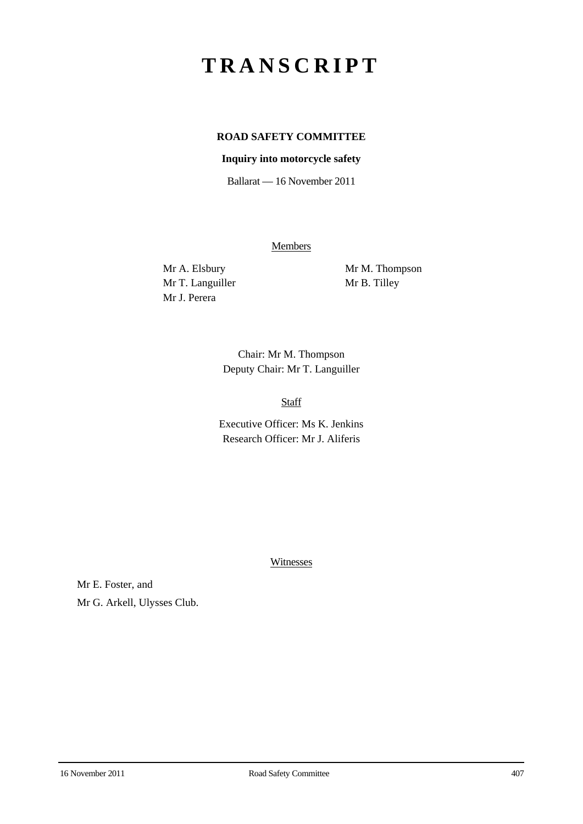# **TRANSCRIPT**

# **ROAD SAFETY COMMITTEE**

# **Inquiry into motorcycle safety**

Ballarat — 16 November 2011

**Members** 

Mr T. Languiller Mr B. Tilley Mr J. Perera

Mr A. Elsbury Mr M. Thompson

Chair: Mr M. Thompson Deputy Chair: Mr T. Languiller

Staff

Executive Officer: Ms K. Jenkins Research Officer: Mr J. Aliferis

Witnesses

Mr E. Foster, and Mr G. Arkell, Ulysses Club.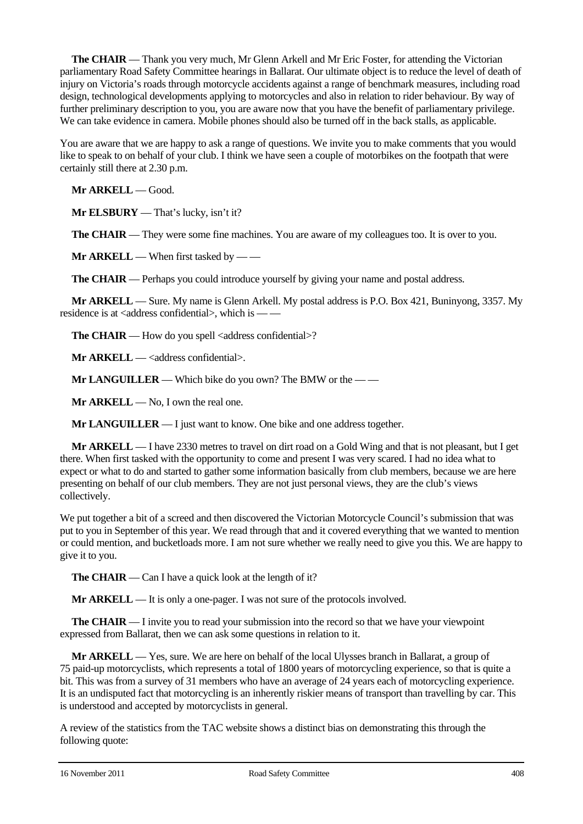**The CHAIR** — Thank you very much, Mr Glenn Arkell and Mr Eric Foster, for attending the Victorian parliamentary Road Safety Committee hearings in Ballarat. Our ultimate object is to reduce the level of death of injury on Victoria's roads through motorcycle accidents against a range of benchmark measures, including road design, technological developments applying to motorcycles and also in relation to rider behaviour. By way of further preliminary description to you, you are aware now that you have the benefit of parliamentary privilege. We can take evidence in camera. Mobile phones should also be turned off in the back stalls, as applicable.

You are aware that we are happy to ask a range of questions. We invite you to make comments that you would like to speak to on behalf of your club. I think we have seen a couple of motorbikes on the footpath that were certainly still there at 2.30 p.m.

**Mr ARKELL** — Good.

**Mr ELSBURY** — That's lucky, isn't it?

**The CHAIR** — They were some fine machines. You are aware of my colleagues too. It is over to you.

**Mr ARKELL** — When first tasked by — —

**The CHAIR** — Perhaps you could introduce yourself by giving your name and postal address.

**Mr ARKELL** — Sure. My name is Glenn Arkell. My postal address is P.O. Box 421, Buninyong, 3357. My residence is at  $\langle$ address confidential $>$ , which is — —

**The CHAIR** — How do you spell <address confidential>?

**Mr ARKELL** — <address confidential>.

**Mr LANGUILLER** — Which bike do you own? The BMW or the — —

**Mr ARKELL** — No, I own the real one.

**Mr LANGUILLER** — I just want to know. One bike and one address together.

**Mr ARKELL** — I have 2330 metres to travel on dirt road on a Gold Wing and that is not pleasant, but I get there. When first tasked with the opportunity to come and present I was very scared. I had no idea what to expect or what to do and started to gather some information basically from club members, because we are here presenting on behalf of our club members. They are not just personal views, they are the club's views collectively.

We put together a bit of a screed and then discovered the Victorian Motorcycle Council's submission that was put to you in September of this year. We read through that and it covered everything that we wanted to mention or could mention, and bucketloads more. I am not sure whether we really need to give you this. We are happy to give it to you.

**The CHAIR** — Can I have a quick look at the length of it?

**Mr ARKELL** — It is only a one-pager. I was not sure of the protocols involved.

**The CHAIR** — I invite you to read your submission into the record so that we have your viewpoint expressed from Ballarat, then we can ask some questions in relation to it.

**Mr ARKELL** — Yes, sure. We are here on behalf of the local Ulysses branch in Ballarat, a group of 75 paid-up motorcyclists, which represents a total of 1800 years of motorcycling experience, so that is quite a bit. This was from a survey of 31 members who have an average of 24 years each of motorcycling experience. It is an undisputed fact that motorcycling is an inherently riskier means of transport than travelling by car. This is understood and accepted by motorcyclists in general.

A review of the statistics from the TAC website shows a distinct bias on demonstrating this through the following quote: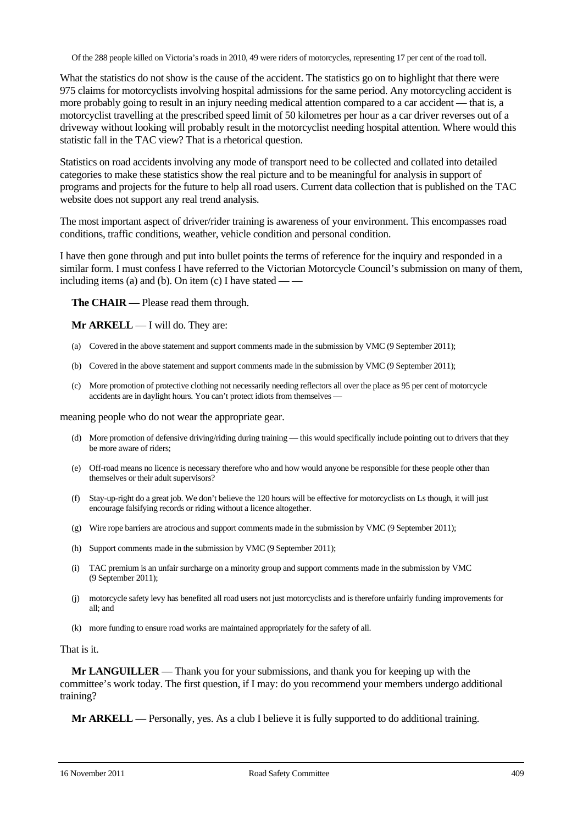Of the 288 people killed on Victoria's roads in 2010, 49 were riders of motorcycles, representing 17 per cent of the road toll.

What the statistics do not show is the cause of the accident. The statistics go on to highlight that there were 975 claims for motorcyclists involving hospital admissions for the same period. Any motorcycling accident is more probably going to result in an injury needing medical attention compared to a car accident — that is, a motorcyclist travelling at the prescribed speed limit of 50 kilometres per hour as a car driver reverses out of a driveway without looking will probably result in the motorcyclist needing hospital attention. Where would this statistic fall in the TAC view? That is a rhetorical question.

Statistics on road accidents involving any mode of transport need to be collected and collated into detailed categories to make these statistics show the real picture and to be meaningful for analysis in support of programs and projects for the future to help all road users. Current data collection that is published on the TAC website does not support any real trend analysis.

The most important aspect of driver/rider training is awareness of your environment. This encompasses road conditions, traffic conditions, weather, vehicle condition and personal condition.

I have then gone through and put into bullet points the terms of reference for the inquiry and responded in a similar form. I must confess I have referred to the Victorian Motorcycle Council's submission on many of them, including items (a) and (b). On item (c) I have stated — —

**The CHAIR** — Please read them through.

**Mr ARKELL** — I will do. They are:

- (a) Covered in the above statement and support comments made in the submission by VMC (9 September 2011);
- (b) Covered in the above statement and support comments made in the submission by VMC (9 September 2011);
- (c) More promotion of protective clothing not necessarily needing reflectors all over the place as 95 per cent of motorcycle accidents are in daylight hours. You can't protect idiots from themselves —

meaning people who do not wear the appropriate gear.

- (d) More promotion of defensive driving/riding during training this would specifically include pointing out to drivers that they be more aware of riders;
- (e) Off-road means no licence is necessary therefore who and how would anyone be responsible for these people other than themselves or their adult supervisors?
- (f) Stay-up-right do a great job. We don't believe the 120 hours will be effective for motorcyclists on Ls though, it will just encourage falsifying records or riding without a licence altogether.
- (g) Wire rope barriers are atrocious and support comments made in the submission by VMC (9 September 2011);
- (h) Support comments made in the submission by VMC (9 September 2011);
- (i) TAC premium is an unfair surcharge on a minority group and support comments made in the submission by VMC (9 September 2011);
- (j) motorcycle safety levy has benefited all road users not just motorcyclists and is therefore unfairly funding improvements for all; and
- (k) more funding to ensure road works are maintained appropriately for the safety of all.

#### That is it.

**Mr LANGUILLER** — Thank you for your submissions, and thank you for keeping up with the committee's work today. The first question, if I may: do you recommend your members undergo additional training?

**Mr ARKELL** — Personally, yes. As a club I believe it is fully supported to do additional training.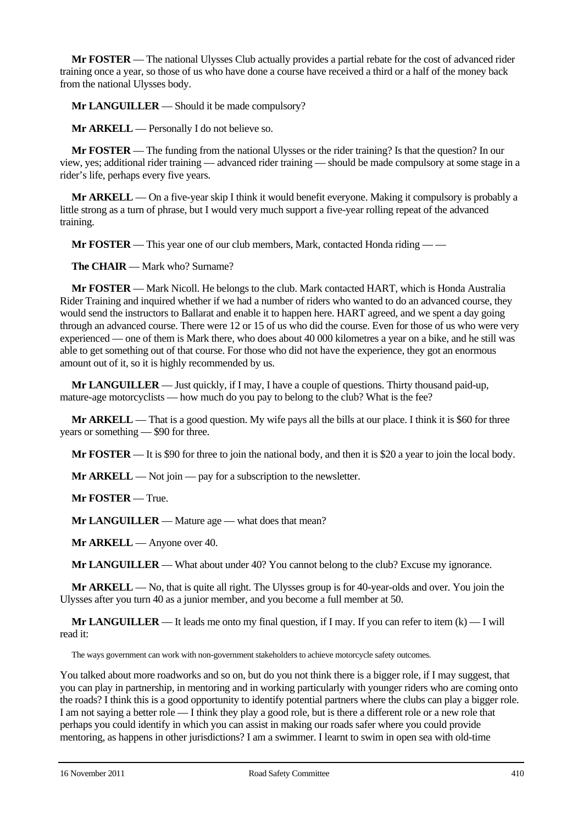**Mr FOSTER** — The national Ulysses Club actually provides a partial rebate for the cost of advanced rider training once a year, so those of us who have done a course have received a third or a half of the money back from the national Ulysses body.

**Mr LANGUILLER** — Should it be made compulsory?

**Mr ARKELL** — Personally I do not believe so.

**Mr FOSTER** — The funding from the national Ulysses or the rider training? Is that the question? In our view, yes; additional rider training — advanced rider training — should be made compulsory at some stage in a rider's life, perhaps every five years.

**Mr ARKELL** — On a five-year skip I think it would benefit everyone. Making it compulsory is probably a little strong as a turn of phrase, but I would very much support a five-year rolling repeat of the advanced training.

**Mr FOSTER** — This year one of our club members, Mark, contacted Honda riding — —

**The CHAIR** — Mark who? Surname?

**Mr FOSTER** — Mark Nicoll. He belongs to the club. Mark contacted HART, which is Honda Australia Rider Training and inquired whether if we had a number of riders who wanted to do an advanced course, they would send the instructors to Ballarat and enable it to happen here. HART agreed, and we spent a day going through an advanced course. There were 12 or 15 of us who did the course. Even for those of us who were very experienced — one of them is Mark there, who does about 40 000 kilometres a year on a bike, and he still was able to get something out of that course. For those who did not have the experience, they got an enormous amount out of it, so it is highly recommended by us.

**Mr LANGUILLER** — Just quickly, if I may, I have a couple of questions. Thirty thousand paid-up, mature-age motorcyclists — how much do you pay to belong to the club? What is the fee?

**Mr ARKELL** — That is a good question. My wife pays all the bills at our place. I think it is \$60 for three years or something — \$90 for three.

**Mr FOSTER** — It is \$90 for three to join the national body, and then it is \$20 a year to join the local body.

**Mr ARKELL** — Not join — pay for a subscription to the newsletter.

**Mr FOSTER** — True.

**Mr LANGUILLER** — Mature age — what does that mean?

**Mr ARKELL** — Anyone over 40.

**Mr LANGUILLER** — What about under 40? You cannot belong to the club? Excuse my ignorance.

**Mr ARKELL** — No, that is quite all right. The Ulysses group is for 40-year-olds and over. You join the Ulysses after you turn 40 as a junior member, and you become a full member at 50.

**Mr LANGUILLER** — It leads me onto my final question, if I may. If you can refer to item  $(k)$  — I will read it:

The ways government can work with non-government stakeholders to achieve motorcycle safety outcomes.

You talked about more roadworks and so on, but do you not think there is a bigger role, if I may suggest, that you can play in partnership, in mentoring and in working particularly with younger riders who are coming onto the roads? I think this is a good opportunity to identify potential partners where the clubs can play a bigger role. I am not saying a better role — I think they play a good role, but is there a different role or a new role that perhaps you could identify in which you can assist in making our roads safer where you could provide mentoring, as happens in other jurisdictions? I am a swimmer. I learnt to swim in open sea with old-time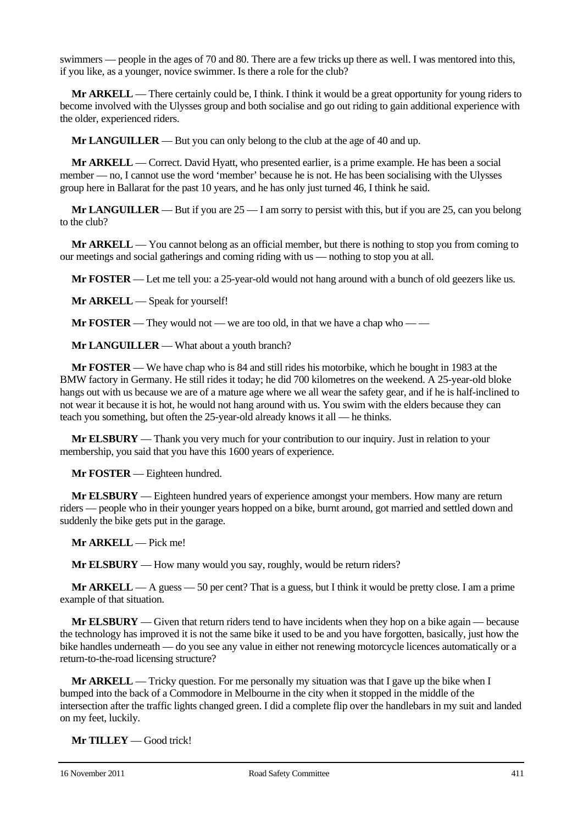swimmers — people in the ages of 70 and 80. There are a few tricks up there as well. I was mentored into this, if you like, as a younger, novice swimmer. Is there a role for the club?

**Mr ARKELL** — There certainly could be, I think. I think it would be a great opportunity for young riders to become involved with the Ulysses group and both socialise and go out riding to gain additional experience with the older, experienced riders.

**Mr LANGUILLER** — But you can only belong to the club at the age of 40 and up.

**Mr ARKELL** — Correct. David Hyatt, who presented earlier, is a prime example. He has been a social member — no, I cannot use the word 'member' because he is not. He has been socialising with the Ulysses group here in Ballarat for the past 10 years, and he has only just turned 46, I think he said.

**Mr LANGUILLER** — But if you are 25 — I am sorry to persist with this, but if you are 25, can you belong to the club?

**Mr ARKELL** — You cannot belong as an official member, but there is nothing to stop you from coming to our meetings and social gatherings and coming riding with us — nothing to stop you at all.

**Mr FOSTER** — Let me tell you: a 25-year-old would not hang around with a bunch of old geezers like us.

**Mr ARKELL** — Speak for yourself!

**Mr FOSTER** — They would not — we are too old, in that we have a chap who — —

**Mr LANGUILLER** — What about a youth branch?

**Mr FOSTER** — We have chap who is 84 and still rides his motorbike, which he bought in 1983 at the BMW factory in Germany. He still rides it today; he did 700 kilometres on the weekend. A 25-year-old bloke hangs out with us because we are of a mature age where we all wear the safety gear, and if he is half-inclined to not wear it because it is hot, he would not hang around with us. You swim with the elders because they can teach you something, but often the 25-year-old already knows it all — he thinks.

**Mr ELSBURY** — Thank you very much for your contribution to our inquiry. Just in relation to your membership, you said that you have this 1600 years of experience.

**Mr FOSTER** — Eighteen hundred.

**Mr ELSBURY** — Eighteen hundred years of experience amongst your members. How many are return riders — people who in their younger years hopped on a bike, burnt around, got married and settled down and suddenly the bike gets put in the garage.

**Mr ARKELL** — Pick me!

**Mr ELSBURY** — How many would you say, roughly, would be return riders?

**Mr ARKELL** — A guess — 50 per cent? That is a guess, but I think it would be pretty close. I am a prime example of that situation.

**Mr ELSBURY** — Given that return riders tend to have incidents when they hop on a bike again — because the technology has improved it is not the same bike it used to be and you have forgotten, basically, just how the bike handles underneath — do you see any value in either not renewing motorcycle licences automatically or a return-to-the-road licensing structure?

**Mr ARKELL** — Tricky question. For me personally my situation was that I gave up the bike when I bumped into the back of a Commodore in Melbourne in the city when it stopped in the middle of the intersection after the traffic lights changed green. I did a complete flip over the handlebars in my suit and landed on my feet, luckily.

**Mr TILLEY** — Good trick!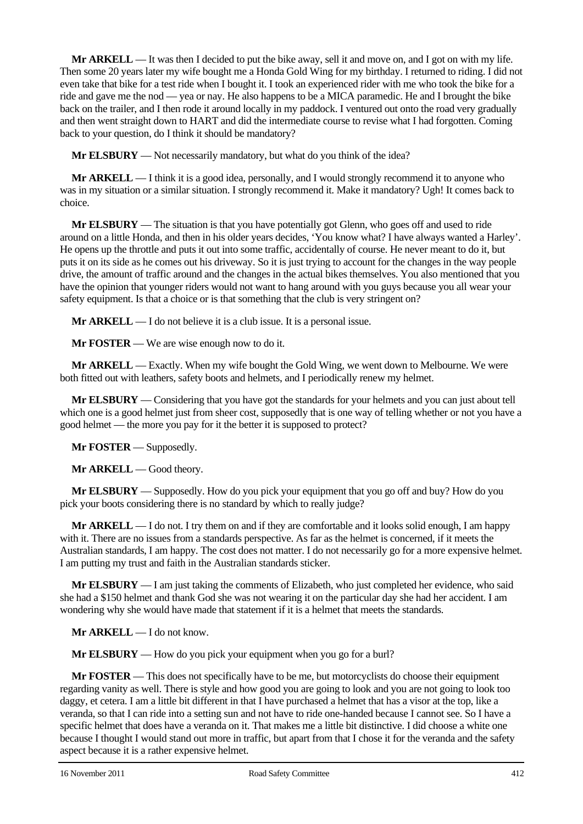**Mr ARKELL** — It was then I decided to put the bike away, sell it and move on, and I got on with my life. Then some 20 years later my wife bought me a Honda Gold Wing for my birthday. I returned to riding. I did not even take that bike for a test ride when I bought it. I took an experienced rider with me who took the bike for a ride and gave me the nod — yea or nay. He also happens to be a MICA paramedic. He and I brought the bike back on the trailer, and I then rode it around locally in my paddock. I ventured out onto the road very gradually and then went straight down to HART and did the intermediate course to revise what I had forgotten. Coming back to your question, do I think it should be mandatory?

**Mr ELSBURY** — Not necessarily mandatory, but what do you think of the idea?

**Mr ARKELL** — I think it is a good idea, personally, and I would strongly recommend it to anyone who was in my situation or a similar situation. I strongly recommend it. Make it mandatory? Ugh! It comes back to choice.

**Mr ELSBURY** — The situation is that you have potentially got Glenn, who goes off and used to ride around on a little Honda, and then in his older years decides, 'You know what? I have always wanted a Harley'. He opens up the throttle and puts it out into some traffic, accidentally of course. He never meant to do it, but puts it on its side as he comes out his driveway. So it is just trying to account for the changes in the way people drive, the amount of traffic around and the changes in the actual bikes themselves. You also mentioned that you have the opinion that younger riders would not want to hang around with you guys because you all wear your safety equipment. Is that a choice or is that something that the club is very stringent on?

**Mr ARKELL** — I do not believe it is a club issue. It is a personal issue.

**Mr FOSTER** — We are wise enough now to do it.

**Mr ARKELL** — Exactly. When my wife bought the Gold Wing, we went down to Melbourne. We were both fitted out with leathers, safety boots and helmets, and I periodically renew my helmet.

**Mr ELSBURY** — Considering that you have got the standards for your helmets and you can just about tell which one is a good helmet just from sheer cost, supposedly that is one way of telling whether or not you have a good helmet — the more you pay for it the better it is supposed to protect?

**Mr FOSTER** — Supposedly.

**Mr ARKELL** — Good theory.

**Mr ELSBURY** — Supposedly. How do you pick your equipment that you go off and buy? How do you pick your boots considering there is no standard by which to really judge?

**Mr ARKELL** — I do not. I try them on and if they are comfortable and it looks solid enough, I am happy with it. There are no issues from a standards perspective. As far as the helmet is concerned, if it meets the Australian standards, I am happy. The cost does not matter. I do not necessarily go for a more expensive helmet. I am putting my trust and faith in the Australian standards sticker.

**Mr ELSBURY** — I am just taking the comments of Elizabeth, who just completed her evidence, who said she had a \$150 helmet and thank God she was not wearing it on the particular day she had her accident. I am wondering why she would have made that statement if it is a helmet that meets the standards.

**Mr ARKELL** — I do not know.

**Mr ELSBURY** — How do you pick your equipment when you go for a burl?

**Mr FOSTER** — This does not specifically have to be me, but motorcyclists do choose their equipment regarding vanity as well. There is style and how good you are going to look and you are not going to look too daggy, et cetera. I am a little bit different in that I have purchased a helmet that has a visor at the top, like a veranda, so that I can ride into a setting sun and not have to ride one-handed because I cannot see. So I have a specific helmet that does have a veranda on it. That makes me a little bit distinctive. I did choose a white one because I thought I would stand out more in traffic, but apart from that I chose it for the veranda and the safety aspect because it is a rather expensive helmet.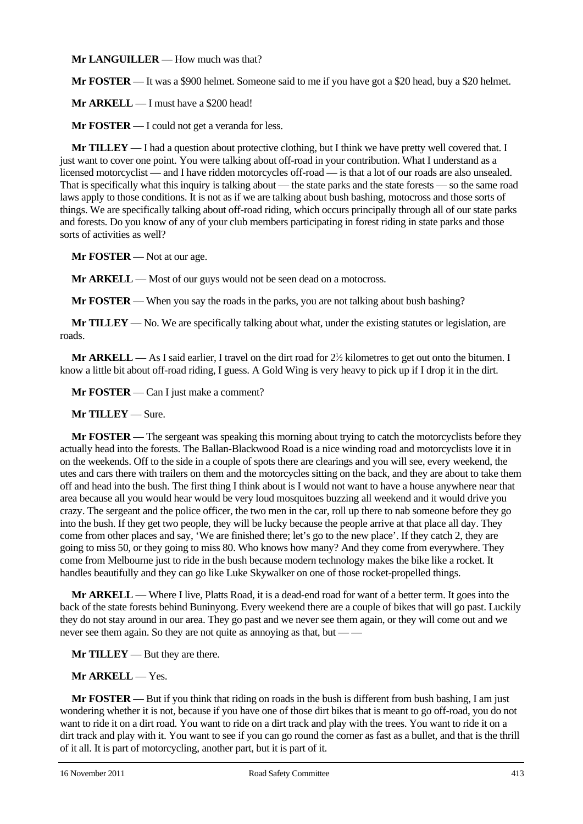**Mr LANGUILLER** — How much was that?

**Mr FOSTER** — It was a \$900 helmet. Someone said to me if you have got a \$20 head, buy a \$20 helmet.

**Mr ARKELL** — I must have a \$200 head!

**Mr FOSTER** — I could not get a veranda for less.

**Mr TILLEY** — I had a question about protective clothing, but I think we have pretty well covered that. I just want to cover one point. You were talking about off-road in your contribution. What I understand as a licensed motorcyclist — and I have ridden motorcycles off-road — is that a lot of our roads are also unsealed. That is specifically what this inquiry is talking about — the state parks and the state forests — so the same road laws apply to those conditions. It is not as if we are talking about bush bashing, motocross and those sorts of things. We are specifically talking about off-road riding, which occurs principally through all of our state parks and forests. Do you know of any of your club members participating in forest riding in state parks and those sorts of activities as well?

**Mr FOSTER** — Not at our age.

**Mr ARKELL** — Most of our guys would not be seen dead on a motocross.

**Mr FOSTER** — When you say the roads in the parks, you are not talking about bush bashing?

**Mr TILLEY** — No. We are specifically talking about what, under the existing statutes or legislation, are roads.

**Mr ARKELL** — As I said earlier, I travel on the dirt road for  $2\frac{1}{2}$  kilometres to get out onto the bitumen. I know a little bit about off-road riding, I guess. A Gold Wing is very heavy to pick up if I drop it in the dirt.

**Mr FOSTER** — Can I just make a comment?

#### **Mr TILLEY** — Sure.

**Mr FOSTER** — The sergeant was speaking this morning about trying to catch the motorcyclists before they actually head into the forests. The Ballan-Blackwood Road is a nice winding road and motorcyclists love it in on the weekends. Off to the side in a couple of spots there are clearings and you will see, every weekend, the utes and cars there with trailers on them and the motorcycles sitting on the back, and they are about to take them off and head into the bush. The first thing I think about is I would not want to have a house anywhere near that area because all you would hear would be very loud mosquitoes buzzing all weekend and it would drive you crazy. The sergeant and the police officer, the two men in the car, roll up there to nab someone before they go into the bush. If they get two people, they will be lucky because the people arrive at that place all day. They come from other places and say, 'We are finished there; let's go to the new place'. If they catch 2, they are going to miss 50, or they going to miss 80. Who knows how many? And they come from everywhere. They come from Melbourne just to ride in the bush because modern technology makes the bike like a rocket. It handles beautifully and they can go like Luke Skywalker on one of those rocket-propelled things.

**Mr ARKELL** — Where I live, Platts Road, it is a dead-end road for want of a better term. It goes into the back of the state forests behind Buninyong. Every weekend there are a couple of bikes that will go past. Luckily they do not stay around in our area. They go past and we never see them again, or they will come out and we never see them again. So they are not quite as annoying as that, but — —

**Mr TILLEY** — But they are there.

## **Mr ARKELL** — Yes.

**Mr FOSTER** — But if you think that riding on roads in the bush is different from bush bashing, I am just wondering whether it is not, because if you have one of those dirt bikes that is meant to go off-road, you do not want to ride it on a dirt road. You want to ride on a dirt track and play with the trees. You want to ride it on a dirt track and play with it. You want to see if you can go round the corner as fast as a bullet, and that is the thrill of it all. It is part of motorcycling, another part, but it is part of it.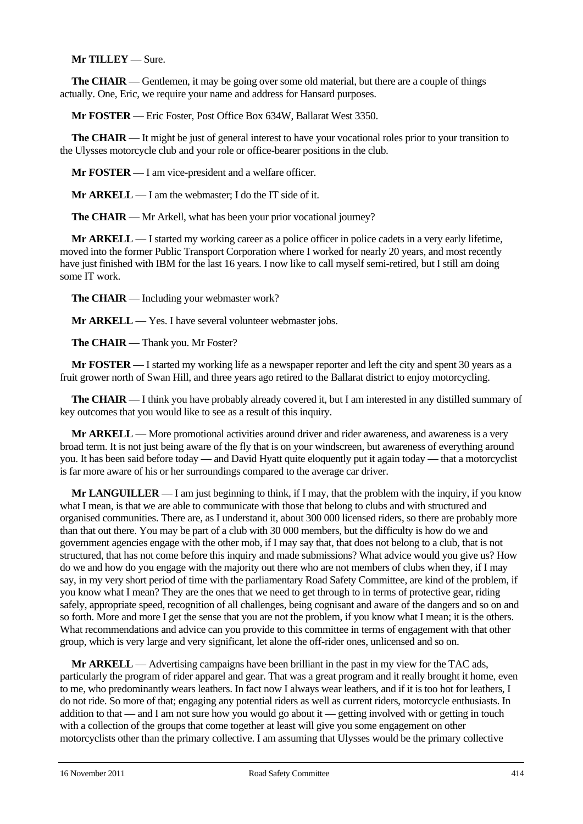## **Mr TILLEY** — Sure.

**The CHAIR** — Gentlemen, it may be going over some old material, but there are a couple of things actually. One, Eric, we require your name and address for Hansard purposes.

**Mr FOSTER** — Eric Foster, Post Office Box 634W, Ballarat West 3350.

**The CHAIR** — It might be just of general interest to have your vocational roles prior to your transition to the Ulysses motorcycle club and your role or office-bearer positions in the club.

**Mr FOSTER** — I am vice-president and a welfare officer.

**Mr ARKELL** — I am the webmaster; I do the IT side of it.

**The CHAIR** — Mr Arkell, what has been your prior vocational journey?

**Mr ARKELL** — I started my working career as a police officer in police cadets in a very early lifetime, moved into the former Public Transport Corporation where I worked for nearly 20 years, and most recently have just finished with IBM for the last 16 years. I now like to call myself semi-retired, but I still am doing some IT work.

**The CHAIR** — Including your webmaster work?

**Mr ARKELL** — Yes. I have several volunteer webmaster jobs.

**The CHAIR** — Thank you. Mr Foster?

**Mr FOSTER** — I started my working life as a newspaper reporter and left the city and spent 30 years as a fruit grower north of Swan Hill, and three years ago retired to the Ballarat district to enjoy motorcycling.

**The CHAIR** — I think you have probably already covered it, but I am interested in any distilled summary of key outcomes that you would like to see as a result of this inquiry.

**Mr ARKELL** — More promotional activities around driver and rider awareness, and awareness is a very broad term. It is not just being aware of the fly that is on your windscreen, but awareness of everything around you. It has been said before today — and David Hyatt quite eloquently put it again today — that a motorcyclist is far more aware of his or her surroundings compared to the average car driver.

**Mr LANGUILLER** — I am just beginning to think, if I may, that the problem with the inquiry, if you know what I mean, is that we are able to communicate with those that belong to clubs and with structured and organised communities. There are, as I understand it, about 300 000 licensed riders, so there are probably more than that out there. You may be part of a club with 30 000 members, but the difficulty is how do we and government agencies engage with the other mob, if I may say that, that does not belong to a club, that is not structured, that has not come before this inquiry and made submissions? What advice would you give us? How do we and how do you engage with the majority out there who are not members of clubs when they, if I may say, in my very short period of time with the parliamentary Road Safety Committee, are kind of the problem, if you know what I mean? They are the ones that we need to get through to in terms of protective gear, riding safely, appropriate speed, recognition of all challenges, being cognisant and aware of the dangers and so on and so forth. More and more I get the sense that you are not the problem, if you know what I mean; it is the others. What recommendations and advice can you provide to this committee in terms of engagement with that other group, which is very large and very significant, let alone the off-rider ones, unlicensed and so on.

**Mr ARKELL** — Advertising campaigns have been brilliant in the past in my view for the TAC ads, particularly the program of rider apparel and gear. That was a great program and it really brought it home, even to me, who predominantly wears leathers. In fact now I always wear leathers, and if it is too hot for leathers, I do not ride. So more of that; engaging any potential riders as well as current riders, motorcycle enthusiasts. In addition to that — and I am not sure how you would go about it — getting involved with or getting in touch with a collection of the groups that come together at least will give you some engagement on other motorcyclists other than the primary collective. I am assuming that Ulysses would be the primary collective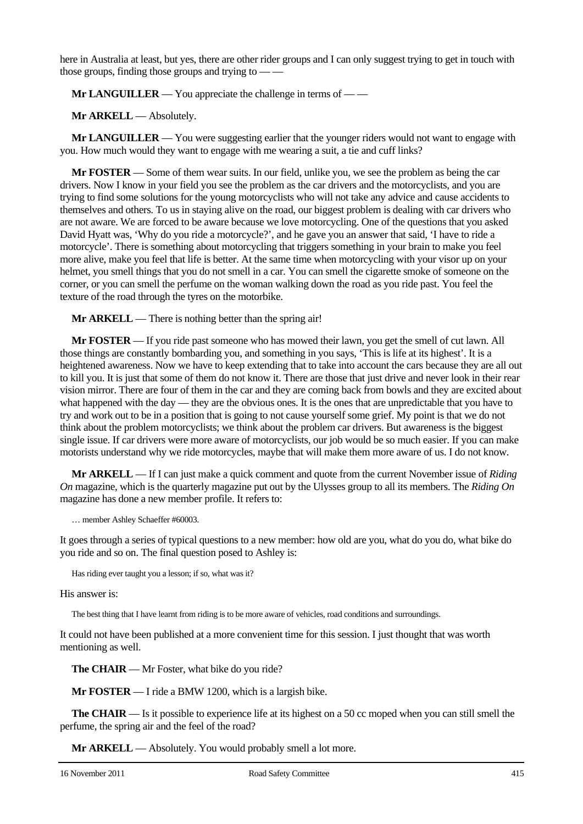here in Australia at least, but yes, there are other rider groups and I can only suggest trying to get in touch with those groups, finding those groups and trying to  $-\frac{1}{x}$ 

**Mr LANGUILLER** — You appreciate the challenge in terms of — —

**Mr ARKELL** — Absolutely.

**Mr LANGUILLER** — You were suggesting earlier that the younger riders would not want to engage with you. How much would they want to engage with me wearing a suit, a tie and cuff links?

**Mr FOSTER** — Some of them wear suits. In our field, unlike you, we see the problem as being the car drivers. Now I know in your field you see the problem as the car drivers and the motorcyclists, and you are trying to find some solutions for the young motorcyclists who will not take any advice and cause accidents to themselves and others. To us in staying alive on the road, our biggest problem is dealing with car drivers who are not aware. We are forced to be aware because we love motorcycling. One of the questions that you asked David Hyatt was, 'Why do you ride a motorcycle?', and he gave you an answer that said, 'I have to ride a motorcycle'. There is something about motorcycling that triggers something in your brain to make you feel more alive, make you feel that life is better. At the same time when motorcycling with your visor up on your helmet, you smell things that you do not smell in a car. You can smell the cigarette smoke of someone on the corner, or you can smell the perfume on the woman walking down the road as you ride past. You feel the texture of the road through the tyres on the motorbike.

**Mr ARKELL** — There is nothing better than the spring air!

**Mr FOSTER** — If you ride past someone who has mowed their lawn, you get the smell of cut lawn. All those things are constantly bombarding you, and something in you says, 'This is life at its highest'. It is a heightened awareness. Now we have to keep extending that to take into account the cars because they are all out to kill you. It is just that some of them do not know it. There are those that just drive and never look in their rear vision mirror. There are four of them in the car and they are coming back from bowls and they are excited about what happened with the day — they are the obvious ones. It is the ones that are unpredictable that you have to try and work out to be in a position that is going to not cause yourself some grief. My point is that we do not think about the problem motorcyclists; we think about the problem car drivers. But awareness is the biggest single issue. If car drivers were more aware of motorcyclists, our job would be so much easier. If you can make motorists understand why we ride motorcycles, maybe that will make them more aware of us. I do not know.

**Mr ARKELL** — If I can just make a quick comment and quote from the current November issue of *Riding On* magazine, which is the quarterly magazine put out by the Ulysses group to all its members. The *Riding On* magazine has done a new member profile. It refers to:

… member Ashley Schaeffer #60003.

It goes through a series of typical questions to a new member: how old are you, what do you do, what bike do you ride and so on. The final question posed to Ashley is:

Has riding ever taught you a lesson; if so, what was it?

His answer is:

The best thing that I have learnt from riding is to be more aware of vehicles, road conditions and surroundings.

It could not have been published at a more convenient time for this session. I just thought that was worth mentioning as well.

**The CHAIR** — Mr Foster, what bike do you ride?

**Mr FOSTER** — I ride a BMW 1200, which is a largish bike.

**The CHAIR** — Is it possible to experience life at its highest on a 50 cc moped when you can still smell the perfume, the spring air and the feel of the road?

**Mr ARKELL** — Absolutely. You would probably smell a lot more.